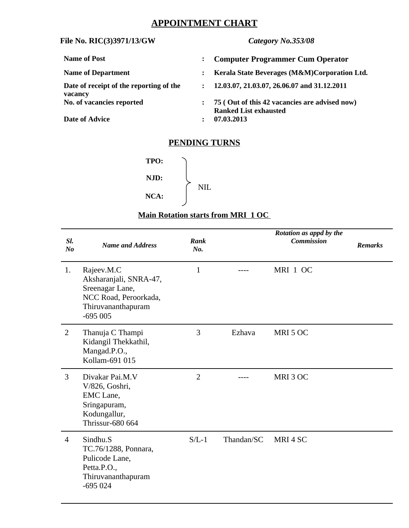# **APPOINTMENT CHART**

## **File No. RIC(3)3971/13/GW** *Category No.353/08*

| Name of Post                            |              | <b>Computer Programmer Cum Operator</b>       |
|-----------------------------------------|--------------|-----------------------------------------------|
| <b>Name of Department</b>               |              | Kerala State Beverages (M&M)Corporation Ltd.  |
| Date of receipt of the reporting of the | $\mathbf{r}$ | 12.03.07, 21.03.07, 26.06.07 and 31.12.2011   |
| vacancy                                 |              |                                               |
| No. of vacancies reported               |              | 75 (Out of this 42 vacancies are advised now) |
|                                         |              | <b>Ranked List exhausted</b>                  |
| <b>Date of Advice</b>                   |              | 07.03.2013                                    |

## **PENDING TURNS**



## **Main Rotation starts from MRI 1 OC**

| SI.<br>No      | <b>Name and Address</b>                                                                                             | <b>Rank</b><br>No. |            | Rotation as appd by the<br><b>Commission</b> | <b>Remarks</b> |
|----------------|---------------------------------------------------------------------------------------------------------------------|--------------------|------------|----------------------------------------------|----------------|
| 1.             | Rajeev.M.C<br>Aksharanjali, SNRA-47,<br>Sreenagar Lane,<br>NCC Road, Peroorkada,<br>Thiruvananthapuram<br>$-695005$ | $\mathbf{1}$       |            | MRI 1 OC                                     |                |
| $\overline{2}$ | Thanuja C Thampi<br>Kidangil Thekkathil,<br>Mangad.P.O.,<br>Kollam-691 015                                          | 3                  | Ezhava     | MRI 5 OC                                     |                |
| 3              | Divakar Pai.M.V<br>V/826, Goshri,<br>EMC Lane,<br>Sringapuram,<br>Kodungallur,<br><b>Thrissur-680 664</b>           | $\overline{2}$     |            | MRI 3 OC                                     |                |
| $\overline{4}$ | Sindhu.S<br>TC.76/1288, Ponnara,<br>Pulicode Lane,<br>Petta.P.O.,<br>Thiruvananthapuram<br>$-695024$                | $S/L-1$            | Thandan/SC | MRI4SC                                       |                |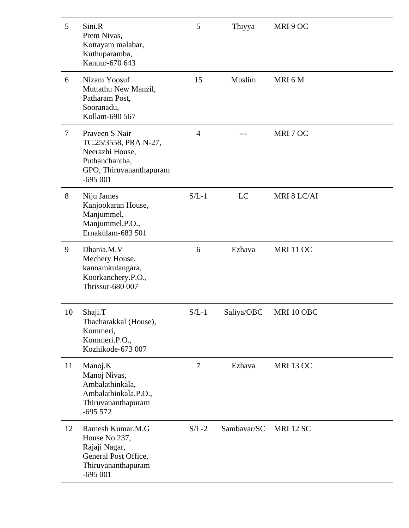| 5              | Sini.R<br>Prem Nivas,<br>Kottayam malabar,<br>Kuthuparamba,<br>Kannur-670 643                                        | 5              | Thiyya      | MRI 9 OC         |
|----------------|----------------------------------------------------------------------------------------------------------------------|----------------|-------------|------------------|
| 6              | Nizam Yoosuf<br>Muttathu New Manzil,<br>Patharam Post,<br>Sooranadu,<br>Kollam-690 567                               | 15             | Muslim      | MRI 6 M          |
| $\overline{7}$ | Praveen S Nair<br>TC.25/3558, PRA N-27,<br>Neerazhi House,<br>Puthanchantha,<br>GPO, Thiruvananthapuram<br>$-695001$ | $\overline{4}$ |             | MRI 7 OC         |
| 8              | Niju James<br>Kanjookaran House,<br>Manjummel,<br>Manjummel.P.O.,<br>Ernakulam-683 501                               | $S/L-1$        | LC          | MRI 8 LC/AI      |
| 9              | Dhania.M.V<br>Mechery House,<br>kannamkulangara,<br>Koorkanchery.P.O.,<br><b>Thrissur-680 007</b>                    | 6              | Ezhava      | <b>MRI 11 OC</b> |
| 10             | Shaji.T<br>Thacharakkal (House),<br>Kommeri,<br>Kommeri.P.O.,<br>Kozhikode-673 007                                   | $S/L-1$        | Saliya/OBC  | MRI 10 OBC       |
| 11             | Manoj.K<br>Manoj Nivas,<br>Ambalathinkala,<br>Ambalathinkala.P.O.,<br>Thiruvananthapuram<br>$-695572$                | 7              | Ezhava      | <b>MRI 13 OC</b> |
| 12             | Ramesh Kumar.M.G<br>House No.237,<br>Rajaji Nagar,<br>General Post Office,<br>Thiruvananthapuram<br>$-695001$        | $S/L-2$        | Sambavar/SC | <b>MRI 12 SC</b> |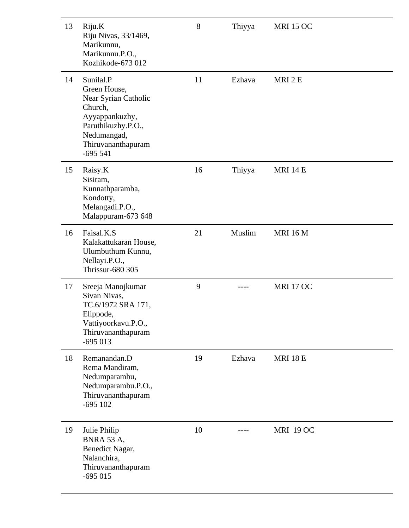| 13<br>Riju.K<br>Riju Nivas, 33/1469,<br>Marikunnu,<br>Marikunnu.P.O.,<br>Kozhikode-673 012                                                                   | 8  | Thiyya | <b>MRI 15 OC</b> |  |
|--------------------------------------------------------------------------------------------------------------------------------------------------------------|----|--------|------------------|--|
| Sunilal.P<br>14<br>Green House,<br>Near Syrian Catholic<br>Church,<br>Ayyappankuzhy,<br>Paruthikuzhy.P.O.,<br>Nedumangad,<br>Thiruvananthapuram<br>$-695541$ | 11 | Ezhava | MRI 2 E          |  |
| 15<br>Raisy.K<br>Sisiram,<br>Kunnathparamba,<br>Kondotty,<br>Melangadi.P.O.,<br>Malappuram-673 648                                                           | 16 | Thiyya | <b>MRI 14 E</b>  |  |
| Faisal.K.S<br>16<br>Kalakattukaran House,<br>Ulumbuthum Kunnu,<br>Nellayi.P.O.,<br><b>Thrissur-680 305</b>                                                   | 21 | Muslim | <b>MRI 16 M</b>  |  |
| 17<br>Sreeja Manojkumar<br>Sivan Nivas,<br>TC.6/1972 SRA 171,<br>Elippode,<br>Vattiyoorkavu.P.O.,<br>Thiruvananthapuram<br>$-695013$                         | 9  |        | <b>MRI 17 OC</b> |  |
| 18<br>Remanandan.D<br>Rema Mandiram,<br>Nedumparambu,<br>Nedumparambu.P.O.,<br>Thiruvananthapuram<br>$-695102$                                               | 19 | Ezhava | <b>MRI 18 E</b>  |  |
| 19<br>Julie Philip<br><b>BNRA 53 A,</b><br>Benedict Nagar,<br>Nalanchira,<br>Thiruvananthapuram<br>$-695015$                                                 | 10 |        | <b>MRI 19 OC</b> |  |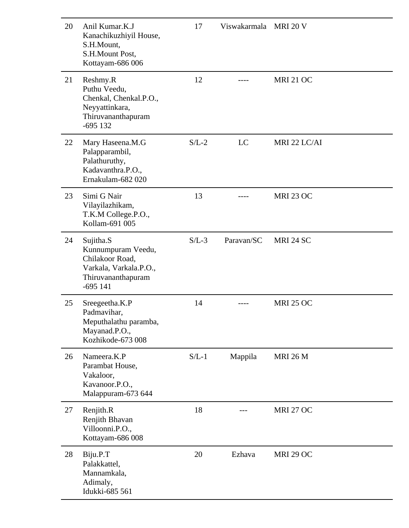| 20 | Anil Kumar, K.J<br>Kanachikuzhiyil House,<br>S.H.Mount,<br>S.H.Mount Post,<br>Kottayam-686 006                  | 17      | Viswakarmala MRI 20 V |                  |
|----|-----------------------------------------------------------------------------------------------------------------|---------|-----------------------|------------------|
| 21 | Reshmy.R<br>Puthu Veedu,<br>Chenkal, Chenkal.P.O.,<br>Neyyattinkara,<br>Thiruvananthapuram<br>$-695$ 132        | 12      |                       | <b>MRI 21 OC</b> |
| 22 | Mary Haseena.M.G<br>Palapparambil,<br>Palathuruthy,<br>Kadavanthra.P.O.,<br>Ernakulam-682 020                   | $S/L-2$ | LC                    | MRI 22 LC/AI     |
| 23 | Simi G Nair<br>Vilayilazhikam,<br>T.K.M College.P.O.,<br>Kollam-691 005                                         | 13      |                       | <b>MRI 23 OC</b> |
| 24 | Sujitha.S<br>Kunnumpuram Veedu,<br>Chilakoor Road,<br>Varkala, Varkala.P.O.,<br>Thiruvananthapuram<br>$-695141$ | $S/L-3$ | Paravan/SC            | <b>MRI 24 SC</b> |
| 25 | Sreegeetha.K.P<br>Padmavihar,<br>Meputhalathu paramba,<br>Mayanad.P.O.,<br>Kozhikode-673 008                    | 14      |                       | <b>MRI 25 OC</b> |
| 26 | Nameera.K.P<br>Parambat House,<br>Vakaloor,<br>Kavanoor.P.O.,<br>Malappuram-673 644                             | $S/L-1$ | Mappila               | <b>MRI 26 M</b>  |
| 27 | Renjith.R<br>Renjith Bhavan<br>Villoonni.P.O.,<br>Kottayam-686 008                                              | 18      |                       | <b>MRI 27 OC</b> |
| 28 | Biju.P.T<br>Palakkattel,<br>Mannamkala,<br>Adimaly,<br>Idukki-685 561                                           | 20      | Ezhava                | <b>MRI 29 OC</b> |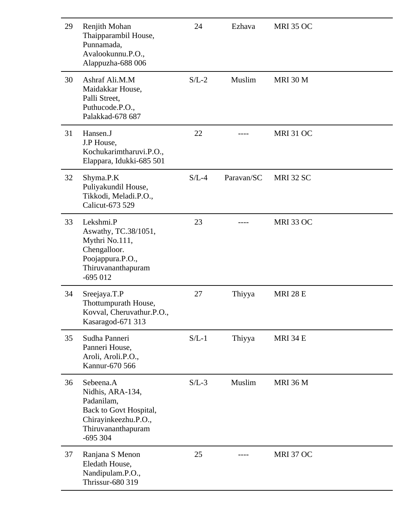| 29 | Renjith Mohan<br>Thaipparambil House,<br>Punnamada,<br>Avalookunnu.P.O.,<br>Alappuzha-688 006                                    | 24      | Ezhava     | <b>MRI 35 OC</b> |
|----|----------------------------------------------------------------------------------------------------------------------------------|---------|------------|------------------|
| 30 | Ashraf Ali, M, M<br>Maidakkar House,<br>Palli Street,<br>Puthucode.P.O.,<br>Palakkad-678 687                                     | $S/L-2$ | Muslim     | <b>MRI 30 M</b>  |
| 31 | Hansen.J<br>J.P House,<br>Kochukarimtharuvi.P.O.,<br>Elappara, Idukki-685 501                                                    | 22      |            | <b>MRI 31 OC</b> |
| 32 | Shyma.P.K<br>Puliyakundil House,<br>Tikkodi, Meladi.P.O.,<br>Calicut-673 529                                                     | $S/L-4$ | Paravan/SC | <b>MRI 32 SC</b> |
| 33 | Lekshmi.P<br>Aswathy, TC.38/1051,<br>Mythri No.111,<br>Chengalloor.<br>Poojappura.P.O.,<br>Thiruvananthapuram<br>$-695012$       | 23      |            | <b>MRI 33 OC</b> |
| 34 | Sreejaya.T.P<br>Thottumpurath House,<br>Kovval, Cheruvathur.P.O.,<br>Kasaragod-671 313                                           | 27      | Thiyya     | <b>MRI 28 E</b>  |
| 35 | Sudha Panneri<br>Panneri House,<br>Aroli, Aroli.P.O.,<br>Kannur-670 566                                                          | $S/L-1$ | Thiyya     | <b>MRI 34 E</b>  |
| 36 | Sebeena.A<br>Nidhis, ARA-134,<br>Padanilam,<br>Back to Govt Hospital,<br>Chirayinkeezhu.P.O.,<br>Thiruvananthapuram<br>$-695304$ | $S/L-3$ | Muslim     | <b>MRI 36 M</b>  |
| 37 | Ranjana S Menon<br>Eledath House,<br>Nandipulam.P.O.,<br><b>Thrissur-680 319</b>                                                 | 25      |            | <b>MRI 37 OC</b> |